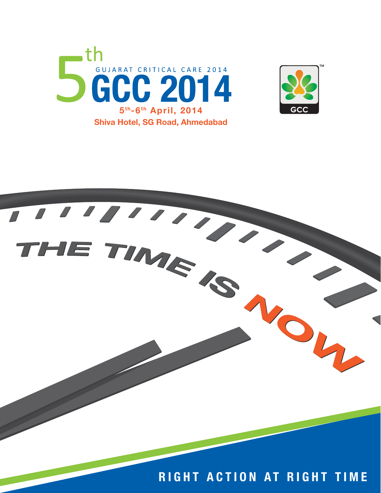



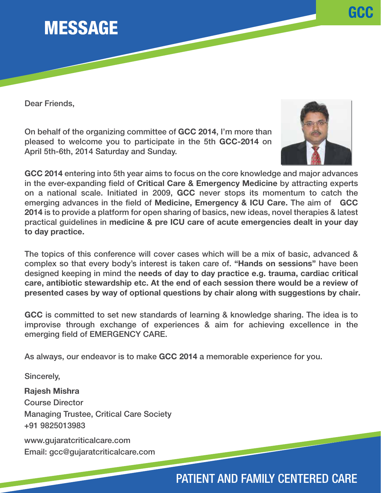

Dear Friends,

On behalf of the organizing committee of GCC 2014, I'm more than pleased to welcome you to participate in the 5th GCC-2014 on April 5th-6th, 2014 Saturday and Sunday.



GCC

GCC 2014 entering into 5th year aims to focus on the core knowledge and major advances in the ever-expanding field of Critical Care & Emergency Medicine by attracting experts on a national scale. Initiated in 2009, GCC never stops its momentum to catch the emerging advances in the field of Medicine, Emergency & ICU Care. The aim of GCC 2014 is to provide a platform for open sharing of basics, new ideas, novel therapies & latest practical guidelines in medicine & pre ICU care of acute emergencies dealt in your day to day practice.

The topics of this conference will cover cases which will be a mix of basic, advanced & complex so that every body's interest is taken care of. "Hands on sessions" have been designed keeping in mind the needs of day to day practice e.g. trauma, cardiac critical care, antibiotic stewardship etc. At the end of each session there would be a review of presented cases by way of optional questions by chair along with suggestions by chair.

GCC is committed to set new standards of learning & knowledge sharing. The idea is to improvise through exchange of experiences & aim for achieving excellence in the emerging field of EMERGENCY CARE.

As always, our endeavor is to make GCC 2014 a memorable experience for you.

Sincerely,

Rajesh Mishra Course Director Managing Trustee, Critical Care Society +91 9825013983

www.gujaratcriticalcare.com Email: gcc@gujaratcriticalcare.com

### PATIENT AND FAMILY CENTERED CARE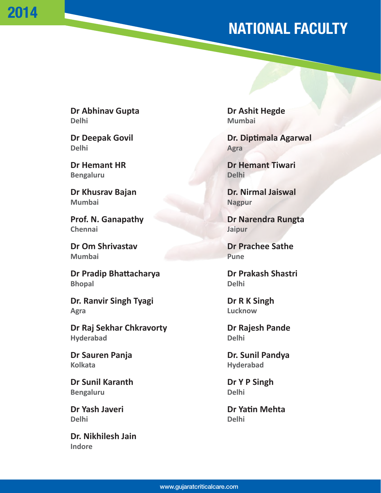# NATIONAL FACULTY

**Dr Abhinav Gupta Dr Ashit Hegde Delhi Mumbai**

2014

**Delhi** Agra

**Bengaluru Delhi** Delhi

**Mumbai** Nagpur

**Prof. N. Ganapathy Dr Narendra Rungta Chennai Jaipur**

**Dr Om Shrivastav Dr Prachee Sathe Mumbai Pune**

**Dr Pradip Bhattacharya Dr Prakash Shastri Bhopal** Delhi

**Dr. Ranvir Singh Tyagi Dr R K Singh Agra Lucknow**

**Dr Raj Sekhar Chkravorty Changes Are and Pressure Pande in Pande Hyderabad Delhi** 

Kolkata **Hyderabad** 

**Dr Sunil Karanth Dr Y P Singh** Bengaluru **Delhi Delhi** 

**Delhi Delhi**

**Dr. Nikhilesh Jain Indore** 

**Dr Deepak Govil Communist Communist Communist Communist Dr. Diptimala Agarwal** 

**Dr Hemant HR Dr Hemant Tiwari** 

**Dr Khusrav Bajan Dr. Nirmal Jaiswal** 

**Dr Sauren Panja** Dr. Sunil Pandya

**Dr Yash Javeri Dr Yatin Mehta**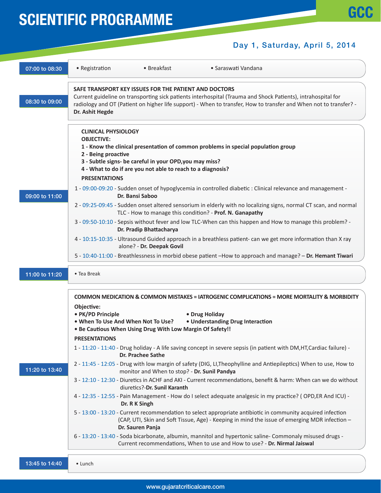#### Day 1, Saturday, April 5, 2014

| 07:00 to 08:30 | • Breakfast<br>• Saraswati Vandana<br>• Registration                                                                                                                                                                                                                                                                                                                                                                         |  |  |  |  |  |
|----------------|------------------------------------------------------------------------------------------------------------------------------------------------------------------------------------------------------------------------------------------------------------------------------------------------------------------------------------------------------------------------------------------------------------------------------|--|--|--|--|--|
| 08:30 to 09:00 | SAFE TRANSPORT KEY ISSUES FOR THE PATIENT AND DOCTORS<br>Current guideline on transporting sick patients interhospital (Trauma and Shock Patients), intrahospital for<br>radiology and OT (Patient on higher life support) - When to transfer, How to transfer and When not to transfer? -<br>Dr. Ashit Hegde                                                                                                                |  |  |  |  |  |
|                | <b>CLINICAL PHYSIOLOGY</b><br><b>OBJECTIVE:</b><br>1 - Know the clinical presentation of common problems in special population group<br>2 - Being proactive<br>3 - Subtle signs- be careful in your OPD, you may miss?<br>4 - What to do if are you not able to reach to a diagnosis?<br><b>PRESENTATIONS</b><br>1 - 09:00-09:20 - Sudden onset of hypoglycemia in controlled diabetic : Clinical relevance and management - |  |  |  |  |  |
| 09:00 to 11:00 | Dr. Bansi Saboo<br>2 - 09:25-09:45 - Sudden onset altered sensorium in elderly with no localizing signs, normal CT scan, and normal<br>TLC - How to manage this condition? - Prof. N. Ganapathy                                                                                                                                                                                                                              |  |  |  |  |  |
|                | 3 - 09:50-10:10 - Sepsis without fever and low TLC-When can this happen and How to manage this problem? -<br>Dr. Pradip Bhattacharya<br>4 - 10:15-10:35 - Ultrasound Guided approach in a breathless patient- can we get more information than X ray<br>alone? - Dr. Deepak Govil                                                                                                                                            |  |  |  |  |  |
|                | 5 - 10:40-11:00 - Breathlessness in morbid obese patient -How to approach and manage? - Dr. Hemant Tiwari                                                                                                                                                                                                                                                                                                                    |  |  |  |  |  |
| 11:00 to 11:20 | • Tea Break                                                                                                                                                                                                                                                                                                                                                                                                                  |  |  |  |  |  |
|                |                                                                                                                                                                                                                                                                                                                                                                                                                              |  |  |  |  |  |
|                | <b>COMMON MEDICATION &amp; COMMON MISTAKES = IATROGENIC COMPLICATIONS = MORE MORTALITY &amp; MORBIDITY</b><br>Objective:<br>• PK/PD Principle<br>• Drug Holiday                                                                                                                                                                                                                                                              |  |  |  |  |  |
|                | . When To Use And When Not To Use?<br>• Understanding Drug Interaction<br>. Be Cautious When Using Drug With Low Margin Of Safety!!                                                                                                                                                                                                                                                                                          |  |  |  |  |  |
|                | <b>PRESENTATIONS</b><br>1 - 11:20 - 11:40 - Drug holiday - A life saving concept in severe sepsis (in patient with DM, HT, Cardiac failure) -<br><b>Dr. Prachee Sathe</b>                                                                                                                                                                                                                                                    |  |  |  |  |  |
| 11:20 to 13:40 | 2 - 11:45 - 12:05 - Drug with low margin of safety (DIG, LI, Theophylline and Antiepileptics) When to use, How to                                                                                                                                                                                                                                                                                                            |  |  |  |  |  |
|                | monitor and When to stop? - Dr. Sunil Pandya<br>3 - 12:10 - 12:30 - Diuretics in ACHF and AKI - Current recommendations, benefit & harm: When can we do without                                                                                                                                                                                                                                                              |  |  |  |  |  |
|                | diuretics?-Dr. Sunil Karanth<br>4 - 12:35 - 12:55 - Pain Management - How do I select adequate analgesic in my practice? (OPD,ER And ICU) -                                                                                                                                                                                                                                                                                  |  |  |  |  |  |
|                | Dr. R K Singh<br>5 - 13:00 - 13:20 - Current recommendation to select appropriate antibiotic in community acquired infection<br>(CAP, UTI, Skin and Soft Tissue, Age) - Keeping in mind the issue of emerging MDR infection -<br>Dr. Sauren Panja                                                                                                                                                                            |  |  |  |  |  |
|                | 6 - 13:20 - 13:40 - Soda bicarbonate, albumin, mannitol and hypertonic saline- Commonaly misused drugs -<br>Current recommendations, When to use and How to use? - Dr. Nirmal Jaiswal                                                                                                                                                                                                                                        |  |  |  |  |  |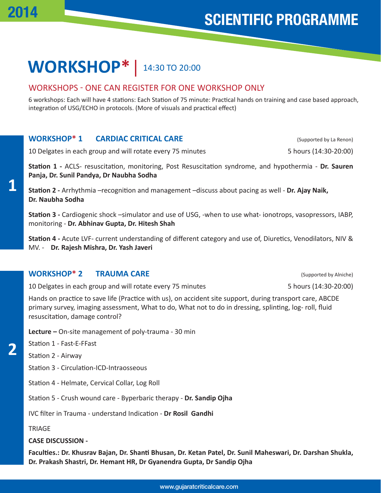#### **WORKSHOP\*** 14:30 TO 20:00

#### WORKSHOPS - ONE CAN REGISTER FOR ONE WORKSHOP ONLY

6 workshops: Each will have 4 stations: Each Station of 75 minute: Practical hands on training and case based approach, integration of USG/ECHO in protocols. (More of visuals and practical effect)

#### **WORKSHOP\* 1 CARDIAC CRITICAL CARE** (Supported by La Renon)

10 Delgates in each group and will rotate every 75 minutes 5 hours (14:30-20:00)

**Station 1 -** ACLS- resuscitation, monitoring, Post Resuscitation syndrome, and hypothermia - **Dr. Sauren Panja, Dr. Sunil Pandya, Dr Naubha Sodha**

**Station 2 -** Arrhythmia –recognition and management –discuss about pacing as well - **Dr. Ajay Naik, Dr. Naubha Sodha**

**Station 3 -** Cardiogenic shock –simulator and use of USG, -when to use what- ionotrops, vasopressors, IABP, monitoring - **Dr. Abhinav Gupta, Dr. Hitesh Shah**

**Station 4 -** Acute LVF- current understanding of different category and use of, Diuretics, Venodilators, NIV & MV. - **Dr. Rajesh Mishra, Dr. Yash Javeri**

#### **WORKSHOP\* 2 TRAUMA CARE CARE** (Supported by Alniche)

10 Delgates in each group and will rotate every 75 minutes 5 hours (14:30-20:00)

Hands on practice to save life (Practice with us), on accident site support, during transport care, ABCDE primary survey, imaging assessment, What to do, What not to do in dressing, splinting, log- roll, fluid resuscitation, damage control?

**Lecture –** On-site management of poly-trauma - 30 min

Station 1 - Fast-E-FFast

Station 2 - Airway

Station 3 - Circulation-ICD-Intraosseous

Station 4 - Helmate, Cervical Collar, Log Roll

Station 5 - Crush wound care - Byperbaric therapy - **Dr. Sandip Ojha**

IVC filter in Trauma - understand Indication - **Dr Rosil Gandhi**

**TRIAGE** 

**CASE DISCUSSION -**

**Faculties.: Dr. Khusrav Bajan, Dr. Shanti Bhusan, Dr. Ketan Patel, Dr. Sunil Maheswari, Dr. Darshan Shukla, Dr. Prakash Shastri, Dr. Hemant HR, Dr Gyanendra Gupta, Dr Sandip Ojha**

2014

**2**

**1**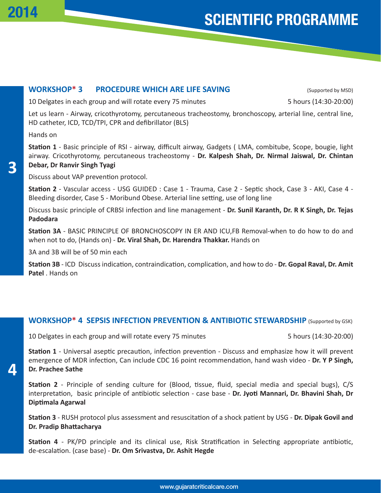#### **WORKSHOP\* 3 PROCEDURE WHICH ARE LIFE SAVING** (Supported by MSD)

10 Delgates in each group and will rotate every 75 minutes 5 hours (14:30-20:00)

Let us learn - Airway, cricothyrotomy, percutaneous tracheostomy, bronchoscopy, arterial line, central line, HD catheter, ICD, TCD/TPI, CPR and defibrillator (BLS)

Hands on

**3**

**Station 1** - Basic principle of RSI - airway, difficult airway, Gadgets ( LMA, combitube, Scope, bougie, light airway. Cricothyrotomy, percutaneous tracheostomy - **Dr. Kalpesh Shah, Dr. Nirmal Jaiswal, Dr. Chintan Debar, Dr Ranvir Singh Tyagi**

Discuss about VAP prevention protocol.

**Station 2** - Vascular access - USG GUIDED : Case 1 - Trauma, Case 2 - Septic shock, Case 3 - AKI, Case 4 - Bleeding disorder, Case 5 - Moribund Obese. Arterial line setting, use of long line

Discuss basic principle of CRBSI infection and line management - **Dr. Sunil Karanth, Dr. R K Singh, Dr. Tejas Padodara**

**Station 3A** - BASIC PRINCIPLE OF BRONCHOSCOPY IN ER AND ICU,FB Removal-when to do how to do and when not to do, (Hands on) - **Dr. Viral Shah, Dr. Harendra Thakkar.** Hands on

3A and 3B will be of 50 min each

**Station 3B** - ICD Discuss indication, contraindication, complication, and how to do - **Dr. Gopal Raval, Dr. Amit Patel** . Hands on

#### **WORKSHOP\* 4 SEPSIS INFECTION PREVENTION & ANTIBIOTIC STEWARDSHIP** (Supported by GSK)

10 Delgates in each group and will rotate every 75 minutes 5 hours (14:30-20:00)

**Station 1** - Universal aseptic precaution, infection prevention - Discuss and emphasize how it will prevent emergence of MDR infection, Can include CDC 16 point recommendation, hand wash video - **Dr. Y P Singh, Dr. Prachee Sathe**

**Station 2** - Principle of sending culture for (Blood, tissue, fluid, special media and special bugs), C/S interpretation, basic principle of antibiotic selection - case base - **Dr. Jyoti Mannari, Dr. Bhavini Shah, Dr Diptimala Agarwal**

**Station 3** - RUSH protocol plus assessment and resuscitation of a shock patient by USG - **Dr. Dipak Govil and Dr. Pradip Bhattacharya**

**Station 4** - PK/PD principle and its clinical use, Risk Stratification in Selecting appropriate antibiotic, de-escalation. (case base) - **Dr. Om Srivastva, Dr. Ashit Hegde**

**4**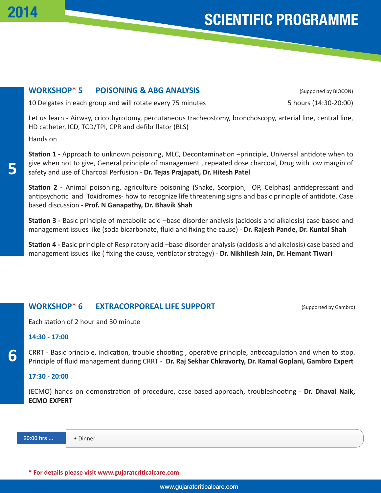#### **WORKSHOP\* 5 POISONING & ABG ANALYSIS** (Supported by BIOCON)

10 Delgates in each group and will rotate every 75 minutes 5 hours (14:30-20:00)

Let us learn - Airway, cricothyrotomy, percutaneous tracheostomy, bronchoscopy, arterial line, central line, HD catheter, ICD, TCD/TPI, CPR and defibrillator (BLS)

Hands on

**5**

**6**

**Station 1 -** Approach to unknown poisoning, MLC, Decontamination –principle, Universal antidote when to give when not to give, General principle of management , repeated dose charcoal, Drug with low margin of safety and use of Charcoal Perfusion - **Dr. Tejas Prajapati, Dr. Hitesh Patel**

**Station 2 -** Animal poisoning, agriculture poisoning (Snake, Scorpion, OP, Celphas) antidepressant and antipsychotic and Toxidromes- how to recognize life threatening signs and basic principle of antidote. Case based discussion - **Prof. N Ganapathy, Dr. Bhavik Shah**

**Station 3 -** Basic principle of metabolic acid –base disorder analysis (acidosis and alkalosis) case based and management issues like (soda bicarbonate, fluid and fixing the cause) - **Dr. Rajesh Pande, Dr. Kuntal Shah**

**Station 4 -** Basic principle of Respiratory acid –base disorder analysis (acidosis and alkalosis) case based and management issues like ( fixing the cause, ventilator strategy) - **Dr. Nikhilesh Jain, Dr. Hemant Tiwari**

#### **WORKSHOP\* 6 EXTRACORPOREAL LIFE SUPPORT** (Supported by Gambro)

Each station of 2 hour and 30 minute

#### **14:30 - 17:00**

CRRT - Basic principle, indication, trouble shooting , operative principle, anticoagulation and when to stop. Principle of fluid management during CRRT - **Dr. Raj Sekhar Chkravorty, Dr. Kamal Goplani, Gambro Expert**

#### **17:30 - 20:00**

(ECMO) hands on demonstration of procedure, case based approach, troubleshooting - **Dr. Dhaval Naik, ECMO EXPERT**

20:00 hrs ... • Dinner

**\* For details please visit www.gujaratcriticalcare.com**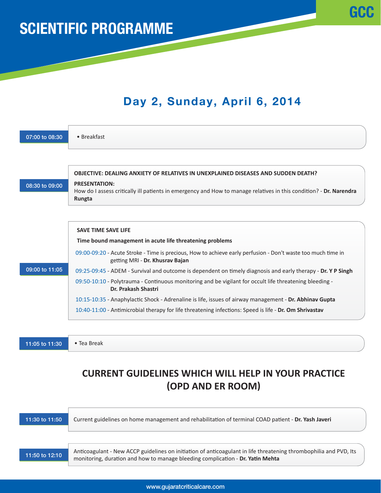### Day 2, Sunday, April 6, 2014

**GCC** 

| 07:00 to 08:30 | • Breakfast                                                                                                                                          |
|----------------|------------------------------------------------------------------------------------------------------------------------------------------------------|
|                | OBJECTIVE: DEALING ANXIETY OF RELATIVES IN UNEXPLAINED DISEASES AND SUDDEN DEATH?                                                                    |
| 08:30 to 09:00 | <b>PRESENTATION:</b><br>How do I assess critically ill patients in emergency and How to manage relatives in this condition? - Dr. Narendra<br>Rungta |
|                | <b>SAVE TIME SAVE LIFE</b>                                                                                                                           |
|                | Time bound management in acute life threatening problems                                                                                             |
|                | 09:00-09:20 - Acute Stroke - Time is precious, How to achieve early perfusion - Don't waste too much time in<br>getting MRI - Dr. Khusrav Bajan      |
| 09:00 to 11:05 | 09:25-09:45 - ADEM - Survival and outcome is dependent on timely diagnosis and early therapy - Dr. Y P Singh                                         |
|                | 09:50-10:10 - Polytrauma - Continuous monitoring and be vigilant for occult life threatening bleeding -<br>Dr. Prakash Shastri                       |
|                | 10:15-10:35 - Anaphylactic Shock - Adrenaline is life, issues of airway management - Dr. Abhinav Gupta                                               |
|                | 10:40-11:00 - Antimicrobial therapy for life threatening infections: Speed is life - Dr. Om Shrivastav                                               |
|                |                                                                                                                                                      |
| 11:05 to 11:30 | • Tea Break                                                                                                                                          |

### **CURRENT GUIDELINES WHICH WILL HELP IN YOUR PRACTICE (OPD AND ER ROOM)**

11:30 to 11:50 Current guidelines on home management and rehabilitation of terminal COAD patient - **Dr. Yash Javeri** 11:50 to 12:10 Anticoagulant - New ACCP guidelines on initiation of anticoagulant in life threatening thrombophilia and PVD, Its monitoring, duration and how to manage bleeding complication - **Dr. Yatin Mehta**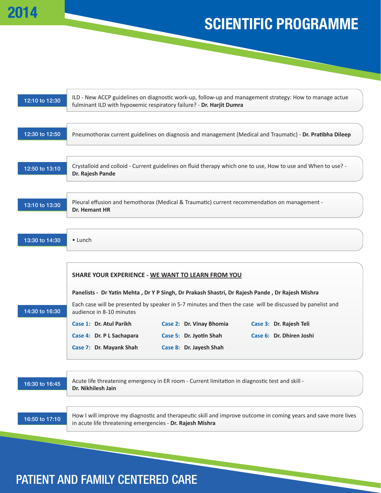

| 12:10 to 12:30 | ILD - New ACCP guidelines on diagnostic work-up, follow-up and management strategy: How to manage actue<br>fulminant ILD with hypoxemic respiratory failure? - Dr. Harjit Dumra                                                                                                                                                                                                 |  |  |  |  |
|----------------|---------------------------------------------------------------------------------------------------------------------------------------------------------------------------------------------------------------------------------------------------------------------------------------------------------------------------------------------------------------------------------|--|--|--|--|
| 12:30 to 12:50 | Pneumothorax current guidelines on diagnosis and management (Medical and Traumatic) - Dr. Pratibha Dileep                                                                                                                                                                                                                                                                       |  |  |  |  |
| 12:50 to 13:10 | Crystalloid and colloid - Current guidelines on fluid therapy which one to use, How to use and When to use? -<br>Dr. Rajesh Pande                                                                                                                                                                                                                                               |  |  |  |  |
| 13:10 to 13:30 | Pleural effusion and hemothorax (Medical & Traumatic) current recommendation on management -<br>Dr. Hemant HR                                                                                                                                                                                                                                                                   |  |  |  |  |
| 13:30 to 14:30 | $\bullet$ Lunch                                                                                                                                                                                                                                                                                                                                                                 |  |  |  |  |
| 14:30 to 16:30 | SHARE YOUR EXPERIENCE - WE WANT TO LEARN FROM YOU<br>Panelists - Dr Yatin Mehta, Dr Y P Singh, Dr Prakash Shastri, Dr Rajesh Pande, Dr Rajesh Mishra<br>Each case will be presented by speaker in 5-7 minutes and then the case will be discussed by panelist and<br>audience in 8-10 minutes<br>Case 2: Dr. Vinay Bhomia<br>Case 1: Dr. Atul Parikh<br>Case 3: Dr. Rajesh Teli |  |  |  |  |
|                | Case 4: Dr. P L Sachapara<br>Case 5: Dr. Jyotin Shah<br>Case 6: Dr. Dhiren Joshi<br>Case 7: Dr. Mayank Shah<br>Case 8: Dr. Jayesh Shah                                                                                                                                                                                                                                          |  |  |  |  |
| 16:30 to 16:45 | Acute life threatening emergency in ER room - Current limitation in diagnostic test and skill -<br>Dr. Nikhilesh Jain                                                                                                                                                                                                                                                           |  |  |  |  |
| 16:50 to 17:10 | How I will improve my diagnostic and therapeutic skill and improve outcome in coming years and save more lives<br>in acute life threatening emergencies - Dr. Rajesh Mishra                                                                                                                                                                                                     |  |  |  |  |
|                |                                                                                                                                                                                                                                                                                                                                                                                 |  |  |  |  |

### PATIENT AND FAMILY CENTERED CARE